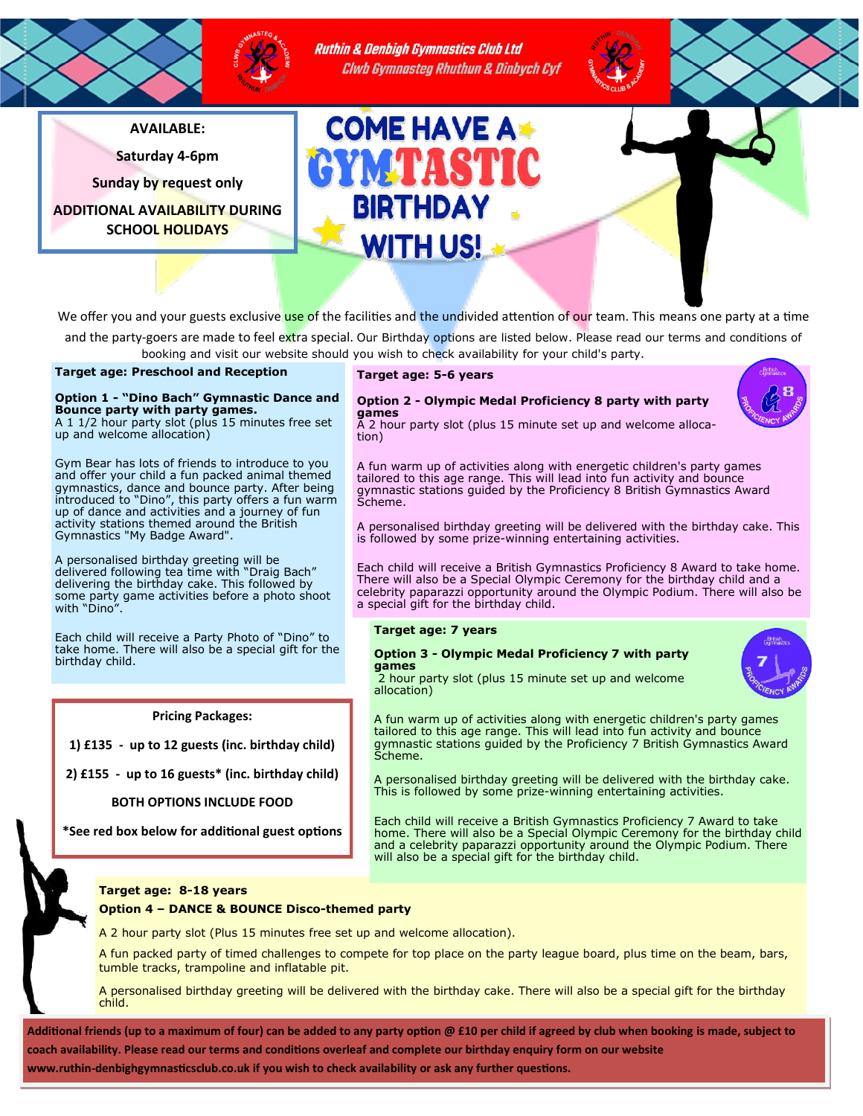

Ruthin & Denbigh Gymnastics Club Ltd Clwb Gymnasteg Rhuthun & Dinbych Cyf

**AVAILABLE:**

**Saturday 4-6pm**

**Sunday by request only**

**ADDITIONAL AVAILABILITY DURING SCHOOL HOLIDAYS**



We offer you and your guests exclusive use of the facilities and the undivided attention of our team. This means one party at a time

and the party-goers are made to feel extra special. Our Birthday options are listed below. Please read our terms and conditions of booking and visit our website should you wish to check availability for your child's party.

**Target age: Preschool and Reception** 

# **Option 1 - "Dino Bach" Gymnastic Dance and Bounce party with party games.**

A 1 1/2 hour party slot (plus 15 minutes free set up and welcome allocation)

Gym Bear has lots of friends to introduce to you and offer your child a fun packed animal themed gymnastics, dance and bounce party. After being introduced to "Dino", this party offers a fun warm up of dance and activities and a journey of fun activity stations themed around the British Gymnastics "My Badge Award".

A personalised birthday greeting will be delivered following tea time with "Draig Bach" delivering the birthday cake. This followed by some party game activities before a photo shoot with "Dino".

Each child will receive a Party Photo of "Dino" to take home. There will also be a special gift for the birthday child.

# **Pricing Packages:**

**1) £135 - up to 12 guests (inc. birthday child)**

**2) £155 - up to 16 guests\* (inc. birthday child)**

**BOTH OPTIONS INCLUDE FOOD**

**\*See red box below for additional guest options**

# **Target age: 5-6 years**

## **Option 2 - Olympic Medal Proficiency 8 party with party games**



A 2 hour party slot (plus 15 minute set up and welcome allocation)

A fun warm up of activities along with energetic children's party games tailored to this age range. This will lead into fun activity and bounce gymnastic stations guided by the Proficiency 8 British Gymnastics Award Scheme.

A personalised birthday greeting will be delivered with the birthday cake. This is followed by some prize-winning entertaining activities.

Each child will receive a British Gymnastics Proficiency 8 Award to take home. There will also be a Special Olympic Ceremony for the birthday child and a celebrity paparazzi opportunity around the Olympic Podium. There will also be a special gift for the birthday child.

# **Target age: 7 years**

# **Option 3 - Olympic Medal Proficiency 7 with party games**

will also be a special gift for the birthday child.



A fun warm up of activities along with energetic children's party games tailored to this age range. This will lead into fun activity and bounce

gymnastic stations guided by the Proficiency 7 British Gymnastics Award Scheme. A personalised birthday greeting will be delivered with the birthday cake.

This is followed by some prize-winning entertaining activities. Each child will receive a British Gymnastics Proficiency 7 Award to take home. There will also be a Special Olympic Ceremony for the birthday child and a celebrity paparazzi opportunity around the Olympic Podium. There

# **Target age: 8-18 years**

# **Option 4 – DANCE & BOUNCE Disco-themed party**

A 2 hour party slot (Plus 15 minutes free set up and welcome allocation).

A fun packed party of timed challenges to compete for top place on the party league board, plus time on the beam, bars, tumble tracks, trampoline and inflatable pit.

A personalised birthday greeting will be delivered with the birthday cake. There will also be a special gift for the birthday child.

**Additional friends (up to a maximum of four) can be added to any party option @ £10 per child if agreed by club when booking is made, subject to coach availability. Please read our terms and conditions overleaf and complete our birthday enquiry form on our website** 

**www.ruthin-denbighgymnasticsclub.co.uk if you wish to check availability or ask any further questions.**